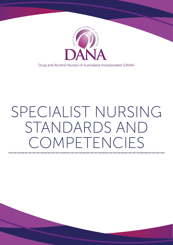

Drug and Alcohol Nurses of Australasia Incorporated (DANA)

# SPECIALIST NURSING STANDARDS AND OMPETENCIES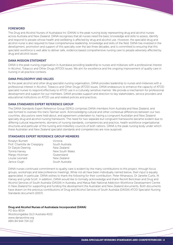## FOREWORD

The Drug and Alcohol Nurses of Australasia Inc (DANA) is the peak nursing body representing drug and alcohol nurses across Australia and New Zealand. DANA recognises that all nurses need the basic knowledge and skills to assess, identify and respond to people whose health and wellbeing is affected by drug and alcohol use. However, the specialist drug and alcohol nurse is also required to have comprehensive leadership, knowledge and skills of the field. DANA has invested in the development, promotion and support of this specialty over the last three decades, and is committed to ensuring that this specialist workforce is well able to deliver safe, evidence based comprehensive nursing care to people adversely affected by drug and alcohol issues.

# DANA MISSION STATEMENT

DANA is the peak nursing organisation in Australasia providing leadership to nurses and midwives with a professional interest in Alcohol, Tobacco and Other Drugs (ATOD) issues. We aim for excellence and the ongoing improvement of quality care in nursing in all practice contexts.

# DANA PHILOSOPHY AND VALUES

As the peak alcohol and other drug specialist nursing organisation, DANA provides leadership to nurses and midwives with a professional interest in Alcohol, Tobacco and Other Drugs (ATOD) issues. DANA endeavours to enhance the capacity of ATOD specialist nurses to respond effectively to ATOD use in a culturally sensitive manner. We provide a mechanism for professional development and support for our members. DANA provides support and direction to key stakeholders, service providers and educational institutions on ATOD use and related policies and practices.

# DANA STANDARDS EXPERT REFERENCE GROUP

The DANA Standards Expert Reference Group (SERG) comprises DANA members from Australia and New Zealand, and was formed to oversee this trans-Tasman work. Acknowledging cultural and other contextual differences between our two countries, discussions were held about, and agreement undertaken to, having a congruent Australian and New Zealand specialty drug and alcohol nursing framework. The need for two separate but congruent frameworks became evident due to differing cultural requirements, domains of nursing standards, competencies and practice, health workforce organisational structures and particular of the nursing and midwifery councils of both nations. DANA is the peak nursing body under which these Australian and New Zealand specialist standards and competencies are now auspiced.

## STANDARDS EXPERT REFERENCE GROUP MEMBERS

| Rosalyn Burnett              | Victoria        |
|------------------------------|-----------------|
| Prof. Charlotte de Crespigny | South Australia |
| Dr Daryle Deering            | New Zealand     |
| Tonina Harvey                | New South Wales |
| Margo Hickman                | Queensland      |
| Louise Leonard               | New Zealand     |
| Janice Ough                  | South Australia |

DANA nurses continued commitment to quality care is evident by the many contributions to this project, through focus groups, workshops and teleconference meetings. While not all have been individually named below, their input is equally appreciated. In particular, DANA wishes to thank the following for their contribution: Peter Athanasos, Dr Janette Curtis, Kt Harvey and Lynda Scott. In addition, DANA would like to formally acknowledge and thank Reckitt Benckiser and Drug and Alcohol Services of South Australia (DASSA) in Australia, and Matua Raki National Addiction Workforce Development Centre in New Zealand for supporting and funding the development the Australian and New Zealand documents. Both documents have drawn on the previous contributions of Drug and Alcohol Services of South Australia (DASSA) ATOD Specialist Nursing Standards document (2007).

## Drug and Alcohol Nurses of Australasia Incorporated (DANA)

PO Box 8014 Woolloongabba QLD Australia 4102 www.danaonline.org ABN 84 944 724 112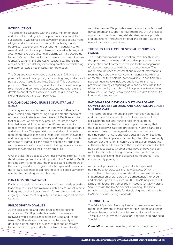## **INTRODUCTION**

The problems associated with the consumption of drugs and alcohol, including tobacco, pharmaceuticals and illicit substances, is widespread and adversely affects people from all ages and socio-economic and cultural backgrounds. People can experience short or long-term general health, mental health and social problems associated with drug and alcohol use. Drug and alcohol problems can vary according to people's particular health status, reasons for use, situations (context), patterns and choices of substances. There is no area of health care delivery or nursing practice in which drug and alcohol related health issues do not impact.

The Drug and Alcohol Nurses of Australasia (DANA) is the peak professional nursing body representing drug and alcohol nurses across Australia and New Zealand. This document presents DANA and the drug and alcohol specialist nursing role, model and contexts of practice; and the rationale and development of these DANA Specialist Drug and Alcohol Nursing Standards and Competencies.

# DRUG AND ALCOHOL NURSES OF AUSTRALASIA (DANA)

The Drug and Alcohol Nurses of Australasia (DANA) is the peak nursing body representing drug and alcohol specialist nurses across Australia and New Zealand. DANA recognises that all nurses, wherever they practice, require the basic knowledge and skills to assess, identify and respond to people whose health is acutely or otherwise affected by drug and alcohol use. The specialist drug and alcohol nurse is required to provide specialised leadership, expert knowledge and nursing skills to assess, identify and respond to complex problems of individuals and families affected by drug and alcohol related health conditions, including dependence and mental and/or physical health comorbidities...

Over the last three decades DANA has invested strongly in the development, promotion and support of this Speciality. DANA remains committed to ensuring that as essential members of the nursing workforce, drug and alcohol specialist nurses can deliver safe, evidence based nursing care to people adversely affected by their drug and alcohol use.

## DANA MISSION STATEMENT

DANA is the peak nursing organisation in Australasia providing leadership to nurses and midwives with a professional interest in drug and alcohol issues. We aim for excellence and the ongoing improvement of quality care in nursing in all practice contexts.

# PHILOSOPHY AND VALUES

As the peak alcohol and other drug specialist nursing organisation, DANA provides leadership to nurses and midwives with a professional interest in Drug and Alcohol issues. DANA endeavours to enhance the capacity of drug and alcohol specialist nurses to respond effectively to people with drug and alcohol problems in a culturally

sensitive manner. We provide a mechanism for professional development and support for our members. DANA provides support and direction to key stakeholders, service providers and educational institutions on drug and alcohol issues and related policies and practices.

# THE DRUG AND ALCOHOL SPECIALIST NURSING MODEL

This model encompasses the continuum of health across the spectrums of primary and secondary prevention, early intervention and treatment in relation to the management of disorders associated with drug and alcohol use. The model also includes assessment and relevant interventions required by people with concomitant general health and/ or mental health problems (comorbidities). In addition, this specialist nursing role includes public health and health promotion strategies regarding drug and alcohol use in the wider community through to clinical practices that include harm reduction, early intervention and intensive therapeutic intervention and support.

# RATIONALE FOR DEVELOPING STANDARDS AND COMPETENCIES FOR DRUG AND ALCOHOL SPECIALIST NURSING CARE

The Australian government and communities hold nurses and midwives fully accountable for their practice. Under legislation the national nursing registering authority (AHPRA) is responsible for monitoring and ensuring that the public receives safe and professional nursing care. This requires nurses to meet agreed standards of practice. If nursing performance is unprofessional, unsafe or illegal the government has in place a process by which the community can contact the national; nursing and midwifery registering authority who will then refer to the relevant standards for that nurse so as to assess whether these have or have not been met. Operationally defining "Standards for Practice" is one of the most challenging and essential components in this accountability paradigm.

As the peak professional drug and alcohol specialist nursing body for Australia and New Zealand, DANA is committed to best practice and development, validation and implementation of standards and competencies for Drug and Alcohol Specialist nurses. In 2009 DANA negotiated with Drug and Alcohol Service of South Australia (DASSA) Nursing Service to use the DASSA Specialist Nursing Standards (Attachment 1) as the basis for developing and validating the DANA Specialist Nursing Standards.

# **TERMINOLOGY**

The DANA Specialist Nursing Standards uses an incremental model to inform the increasingly complex scope and depth of expertise required of specialist drug and alcohol nurses. These levels are termed Foundation, Specialist and Advanced Specialist.

*Foundation* has been selected, rather than 'beginner' or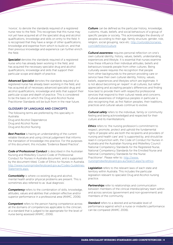'novice', to denote the standards required of a registered nurse new to the field. This recognises that this nurse may not yet have acquired all of the specialist drug and alcohol qualifications, knowledge and skills on entry to the field. It is recognised that they have a range of other qualifications, knowledge and expertise from which to build on, and that their previous knowledge and experience can further enrich the field.

**Specialist** denotes the standards required of a registered nurse who has already been working in the field, and has acquired the necessary specialist drug and alcohol qualifications, knowledge and skills that support their particular scope and depth of practice.

*Advanced Specialist* denotes the standards required of a registered nurse has already been working in the field, and has acquired all of necessary advanced specialist drug and alcohol qualifications, knowledge and skills that support their particular scope and depth of practice. This is considered to be the basis on which the Drug and Alcohol Nurse Practitioner Standards will be built from in the near future.

## GLOSSARY OF LANGUAGE AND CONCEPTS

The following terms are preferred by this speciality in Australia: Drug and Alcohol Dependence Drug and Alcohol Nurse Drug and Alcohol Nursing

**Best Practice** is having an understanding of the current reliable literature and using clinical judgement that informs the translation of knowledge into practice. For the purposes of this document, this includes "Evidence Based Practice".

*Code of Professional Conduct* is described in the Australian Nursing and Midwifery Council Code of Professional Conduct for Nurses in Australia document, and is supported by the document titled, Code of Ethics for Nurses in Australia. [http://www.nursingmidwiferyboard.gov.au/Codes-Guidelines-](http://www.nursingmidwiferyboard.gov.au/Codes-Guidelines-Statements.aspx.)[Statements.aspx.](http://www.nursingmidwiferyboard.gov.au/Codes-Guidelines-Statements.aspx.)

*Comorbidity* is where co-existing drug and alcohol, mental health and/or physical problems are present. This is sometimes also referred to as 'dual diagnosis'.

**Competency** refers to the combination of skills, knowledge, attitudes, values and abilities that underpin effective and/or superior performance in a professional area (ANMC, 2006).

*Competent* refers to the person having competence across all the domains of competencies applicable to the clinician, at a standard that is judged to be appropriate for the level of nurse being assessed (ANMC, 2006).

*Culture* can be defined as the particular history, knowledge, customs, rituals, beliefs, and social behaviours of a group of specific people or society. This acknowledges the diversity of peoples according to their age, family structure, gender, role, religion, social grouping, race etc. [http://oxforddictionaries.](http://oxforddictionaries.com/definition/culture) [com/definition/culture](http://oxforddictionaries.com/definition/culture)

*Cultural awareness* requires personal reflection on one's own cultural identity, history, values, beliefs, understanding, experiences and lifestyle. It is essential that nurses examine how these influence their individual attitudes, beliefs and behaviours towards people from other cultures. Being culturally aware requires the recognition that people from other backgrounds to the person providing care or service have their own cultural identity, history, values, beliefs, experiences and lifestyles which are legitimate. It is not about becoming an 'expert' in all cultures, but rather appreciating and accepting people's differences and finding how best to provide them with respectful professional services that respond to their cultural needs and concerns. Cultural awareness of Indigenous peoples in particular is also recognising that, as first Nation peoples, their traditions, practices and cultural values continue to evolve.

*Cultural safety* refers to the individual, family or community feeling and being acknowledged and respected for their culture and its manifestations.

*Ethics* refers to 'the nursing profession's commitment to respect, promote, protect and uphold the fundamental rights of people who are both the recipients and providers of nursing and health care' and 'is supported by, and should be read in conjunction with, the Code of Conduct for Nurses in Australia and the Australian Nursing and Midwifery Council National Competency Standards for the Registered Nurse, National Competency Standards for the Enrolled Nurse and National Competency Standards for the Nurse Practitioner'. Please refer to: [http://www.](http://www.nursingmidwiferyboard.gov.au/Search.aspx?q=ethics) [nursingmidwiferyboard.gov.au/Search.aspx?q=ethics](http://www.nursingmidwiferyboard.gov.au/Search.aspx?q=ethics)

**Legislation** refers to the relevant laws of each state and territory within Australia. This includes the particular legislation relevant to specialist Drug and Alcohol nursing practice.

*Partnerships* refer to relationships and communication between members of the clinical interdisciplinary team within and across services (government and non-government) and members of the community.

*Standard* refers to a desired and achievable level of performance against which a nurse or midwife's performance can be compared (ANMC 2006).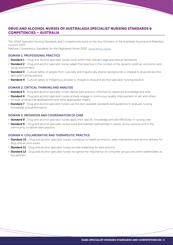#### DRUG AND ALCOHOL NURSES OF AUSTRALASIA SPECIALIST NURSING STANDARDS & COMPETENCIES – AUSTRALIA

The DANA Specialist Nursing Standards and Competencies build on the four Domains of the Australian Nursing and Midwifery Council 2005

*National Competency Standards for the Registered Nurse 2005*. [www.anmc.org.au](http://www.anmc.org.au)

## DOMAIN 1: PROFESSIONAL PRACTICE

- » Standard 1 Drug and alcohol specialist nurses work within their relevant legal and ethical framework
- » Standard 2 Drug and alcohol specialist nurses adapt their practice in the context of the dynamic political, economic and social environment
- » Standard 3 Cultural safety of people from culturally and linguistically diverse backgrounds is integral to drug and alcohol specialist nursing practice
- » Standard 4 Cultural safety of Indigenous peoples is integral to drug and alcohol specialist nursing practice

# DOMAIN 2: CRITICAL THINKING AND ANALYSIS

- » Standard 5 Drug and alcohol specialist nurses deliver best practice, informed by advanced knowledge and skills
- » Standard 6 Drug and alcohol specialist nurses actively engage in continuous quality improvement of self and others through professional development and other appropriate means
- » Standard 7 Drug and alcohol specialist nurses use the best available standards and guidelines to evaluate nursing knowledge and performance

## DOMAIN 3: PROVISION AND COORDINATION OF CARE

- » Standard 8 Drug and alcohol specialist nurses apply their specific knowledge and skill effectively in nursing care
- » Standard 9 Drug and alcohol specialist nurses build and maintain partnerships in teams, across services and in the community, to deliver best practice

#### DOMAIN 4: COLLABORATIVE AND THERAPEUTIC PRACTICE

- » Standard 10 Drug and alcohol specialist nurses contribute to health promotion, early intervention and service delivery for drug and alcohol issues
- » Standard 11 Drug and alcohol specialist nurses provide leadership for best practice
- » Standard 12 Drug and alcohol specialist nurses recognise the importance of consumer groups and other stakeholders as key partners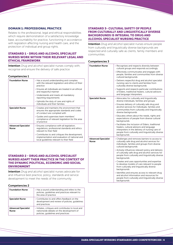## DOMAIN 1: PROFESSIONAL PRACTICE

Relates to the professional, legal and ethical responsibilities which require demonstration of a satisfactory knowledge base, accountability for practice, functioning in accordance with legislation affecting nursing and health care, and the protection of individual and group rights.

# STANDARD 1 - DRUG AND ALCOHOL SPECIALIST NURSES WORK WITHIN THEIR RELEVANT LEGAL AND ETHICAL FRAMEWORK

Intention *Drug and alcohol* specialist nurses comply with, recognise and ensure the delivery of safe practice

# Competencies 1

| <b>Foundation Nurse</b>                    | » Has a sound understanding and complies<br>with the relevant legislation and ethics of their<br>practice                                    |
|--------------------------------------------|----------------------------------------------------------------------------------------------------------------------------------------------|
|                                            | » Ensures all individuals are treated in an ethical<br>and respectful manner                                                                 |
|                                            | » Understands and meets all mandatory<br>reporting requirements                                                                              |
|                                            | » Upholds the duty of care and rights of<br>individuals and their families                                                                   |
| <b>Specialist Nurse</b>                    | » Creates and maintains the environment that<br>ensures the appropriate standards and codes<br>of conduct are complied with                  |
|                                            | » Guides and supervises team members'<br>compliance of relevant legislation for the area<br>of practice                                      |
| <b>Advanced Specialist</b><br><b>Nurse</b> | » Ensures compliance with all legislation,<br>regulations, professional standards and ethics<br>relevant to their field                      |
|                                            | » Contributes to and critiques the development,<br>implementation and evaluation of national and<br>local quidelines relevant to their field |

# STANDARD 2 - DRUG AND ALCOHOL SPECIALIST NURSES ADAPT THEIR PRACTICE IN THE CONTEXT OF THE DYNAMIC POLITICAL, ECONOMIC AND SOCIAL ENVIRONMENT

Intention *Drug and alcohol* specialist nurses advocate for and influence best practice, policy, standards and service development to meet the needs of the community

#### Competencies 2

| <b>Foundation Nurse</b>                    | » Has a sound understanding and refers to the<br>policies, quidelines and practices relevant to<br>the area of practice              |
|--------------------------------------------|--------------------------------------------------------------------------------------------------------------------------------------|
| <b>Specialist Nurse</b>                    | » Contributes to and offers feedback on the<br>development and review of policies, quidelines<br>and practices                       |
| <b>Advanced Specialist</b><br><b>Nurse</b> | » Initiates, critiques and contributes to local and<br>nationwide debate on the development of<br>policies, quidelines and practices |

#### STANDARD 3- CULTURAL SAFETY OF PEOPLE FROM CULTURALLY AND LINGUISTICALLY DIVERSE BACKGROUNDS IS INTEGRAL TO DRUG AND ALCOHOL SPECIALIST NURSING PRACTICE

**Intention** *Drug and alcohol* specialist nurses ensure people from culturally and linguistically diverse backgrounds are respected and culturally safe as clients, family members and communities.

| <b>Foundation Nurse</b>             | » Recognises and respects diversity between<br>cultural groups and responds accordingly<br>» Effectively communicates and engages with<br>people, families and communities from diverse<br>cultural backgrounds<br>» Delivers respectful drug and alcohol specialist<br>nursing care to clients and families from<br>culturally diverse backgrounds<br>» Supports and respects particular contributions<br>of Elders, traditional healers, cultural advisors<br>and language interpreters                                                                                                                                                                                                  |
|-------------------------------------|--------------------------------------------------------------------------------------------------------------------------------------------------------------------------------------------------------------------------------------------------------------------------------------------------------------------------------------------------------------------------------------------------------------------------------------------------------------------------------------------------------------------------------------------------------------------------------------------------------------------------------------------------------------------------------------------|
| <b>Specialist Nurse</b>             | » Advocates for culturally and linguistically<br>diverse individuals, families and groups<br>» Ensures delivery of culturally safe drug and<br>alcohol services for Individuals, families and<br>communities from culturally and linguistically<br>diverse backgrounds<br>» Educates others about the needs, rights and<br>expectations of people from diverse cultural<br>backgrounds<br>» Facilitates the inclusion of Elders, traditional<br>healers, cultural advisors and language<br>interpreters in the delivery of nursing care of<br>people from culturally and linguistically diverse<br>backgrounds                                                                             |
| <b>Advanced Specialist</b><br>Nurse | » Challenges and removes barriers to access to<br>culturally safe drug and alcohol services for<br>individuals, families and groups from diverse<br>cultural backgrounds<br>» Actively influences relevant policy and delivery<br>of culturally safe drug and alcohol services for<br>people from culturally and linguistically diverse<br>backgrounds<br>» Creates and uses opportunities and expertise<br>to develop models of care relevant to people<br>from culturally and linguistically diverse<br>backgrounds<br>» Identifies and ensures access to relevant drug<br>and alcohol information and resources for<br>people from culturally and linguistically diverse<br>backgrounds |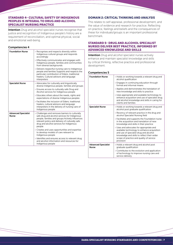# STANDARD 4- CULTURAL SAFETY OF INDIGENOUS PEOPLES IS INTEGRAL TO DRUG AND ALCOHOL SPECIALIST NURSING PRACTICE

Intention *Drug and alcohol* specialist nurses recognise that justice and recognition of Indigenous people's history are a requirement of reconciliation, and optimal physical, social and emotional well-being.

## Competencies 4

| <b>Foundation Nurse</b>                    | » Recognises and respects diversity within<br>Indigenous cultural groups and responds<br>accordingly                                                                                                                                                         |
|--------------------------------------------|--------------------------------------------------------------------------------------------------------------------------------------------------------------------------------------------------------------------------------------------------------------|
|                                            | » Effectively communicates and engages with<br>Indigenous people, families and communities<br>from diverse backgrounds                                                                                                                                       |
|                                            | » Delivers respectful nursing care to Indigenous<br>people and families Supports and respects the<br>particular contribution of Elders, traditional<br>healers, Cultural advisors and language<br>interpreters                                               |
| <b>Specialist Nurse</b>                    | » Advocates for culturally and linguistically<br>diverse Indigenous people, families and groups                                                                                                                                                              |
|                                            | » Ensures access to culturally safe Drug and<br>Alcohol services for Indigenous people                                                                                                                                                                       |
|                                            | » Educates others about the needs, rights and<br>expectations of diverse Indigenous peoples                                                                                                                                                                  |
|                                            | » Facilitates the inclusion of Elders, traditional<br>healers, cultural advisors and language<br>interpreters in the delivery of nursing care of<br>Indigenous people                                                                                        |
| <b>Advanced Specialist</b><br><b>Nurse</b> | » Challenges and removes barriers to culturally<br>safe drug and alcohol services for Indigenous<br>people, families and groups Actively influences<br>relevant policy and delivery of culturally safe<br>drug and alcohol services for Indigenous<br>people |
|                                            | » Creates and uses opportunities and expertise<br>to develop models of care relevant to<br>Indigenous people                                                                                                                                                 |
|                                            | » Identifies and ensures access to relevant drug<br>and alcohol information and resources for<br>Indigenous people                                                                                                                                           |

# DOMAIN 2: CRITICAL THINKING AND ANALYSIS

This relates to self-appraisal, professional development, and the value of evidence and research for practice. Reflecting on practice, feelings and beliefs and the consequences of these for individuals/groups is an important professional benchmark.

#### STANDARD 5- DRUG AND ALCOHOL SPECIALIST NURSES DELIVER BEST PRACTICE, INFORMED BY ADVANCED KNOWLEDGE AND SKILLS ,,,,,,,,,,,,,,,,,,,,,,,,,,,,,,,,,,,

Intention *Drug and alcohol* specialist nurses actively enhance and maintain specialist knowledge and skills by critical thinking, reflective practice and professional development.

| <b>Foundation Nurse</b>                    | » Holds or working towards a relevant drug and<br>alcohol qualification                                                                                                                                                                   |
|--------------------------------------------|-------------------------------------------------------------------------------------------------------------------------------------------------------------------------------------------------------------------------------------------|
|                                            | » Engages in continuing education through<br>formal and informal means                                                                                                                                                                    |
|                                            | » Applies and demonstrates the translation of<br>new knowledge and skills to practice                                                                                                                                                     |
|                                            | » Uses appropriate and available technology to<br>enhance acquisition and use of specialist drug<br>and alcohol knowledge and skills in caring for<br>clients and families                                                                |
| <b>Specialist Nurse</b>                    | » Holds or working towards a relevant drug and<br>alcohol post graduate qualification                                                                                                                                                     |
|                                            | » Recency of relevant practice in the drug and<br>alcohol Specialist Nursing field                                                                                                                                                        |
|                                            | » Facilitates and supports the Foundation nurse<br>in the acquisition and translation of new<br>knowledge and skills in their practice                                                                                                    |
|                                            | » Uses and advocates for appropriate and<br>available technology to enhance acquisition<br>and use of specialist drug and alcohol<br>knowledge and skills to reflect their wider<br>scope of practice and quality of service<br>provision |
| <b>Advanced Specialist</b><br><b>Nurse</b> | » Holds a relevant drug and alcohol post<br>graduate qualification                                                                                                                                                                        |
|                                            | » Contributes to the evolution and application<br>of technology to improve nursing care and<br>service delivery                                                                                                                           |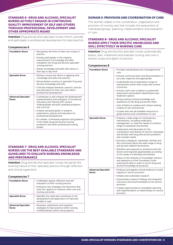# STANDARD 6- DRUG AND ALCOHOL SPECIALIST NURSES ACTIVELY ENGAGE IN CONTINUOUS QUALITY IMPROVEMENT OF SELF AND OTHERS THROUGH PROFESSIONAL DEVELOPMENT AND OTHER APPROPRIATE MEANS

Intention *Drug and alcohol* specialist nurses inform, provide and participate in professional development for best practice

#### Competencies 6

| <b>Foundation Nurse</b>             | » Recognises the limits of their own scope of<br>practice                                                                                                                                           |
|-------------------------------------|-----------------------------------------------------------------------------------------------------------------------------------------------------------------------------------------------------|
|                                     | » Actively participates in the ongoing<br>improvement of knowledge and skills<br>translation into Drug and Alcohol specialist<br>nursing practice                                                   |
|                                     | » Shares knowledge and skills with others in<br>their day to day work                                                                                                                               |
| <b>Specialist Nurse</b>             | » Mentors nurses and others in applying new<br>knowledge and skills into practice                                                                                                                   |
|                                     | » Demonstrates currency in specialist Drug and<br>Alcohol knowledge and skills                                                                                                                      |
|                                     | » Critically analyses literature, practice, policies<br>and education for their own and others<br>professional development                                                                          |
| <b>Advanced Specialist</b><br>Nurse | » Contributes to and critiques the development,<br>implementation and evaluation of Vocational<br>Education and Training (VET sector),<br>undergraduate and post-graduate programs<br>and curricula |
|                                     | » Initiates and participates in research,<br>publications, policies and education for<br>professional development                                                                                   |
|                                     | » As a leader, contributes expertise and guidance<br>to the wider drug and alcohol nursing<br>profession and other professional nursing<br>bodies                                                   |

# STANDARD 7- DRUG AND ALCOHOL SPECIALIST NURSES USE THE BEST AVAILABLE STANDARDS AND GUIDELINES TO EVALUATE NURSING KNOWLEDGE AND PERFORMANCE

Intention *Drug and alcohol* specialist nurses recognise the evolving nature of their specialist practice through reflection and clinical supervision

## Competencies 7

| <b>Foundation Nurse</b>                    | » Undertakes regular reflection and self<br>evaluation of their nursing practice                                             |
|--------------------------------------------|------------------------------------------------------------------------------------------------------------------------------|
|                                            | » Embraces new strategies and directions that<br>have the capacity to improve client care and<br>nursing outcomes            |
| <b>Specialist Nurse</b>                    | » Identifies the need and contributes to the<br>development and application of improved<br>models of care                    |
| <b>Advanced Specialist</b><br><b>Nurse</b> | » Develops, implements and evaluates<br>strategies for best practice within nursing,<br>multidisciplinary teams and programs |

# DOMAIN 3: PROVISION AND COORDINATION OF CARE

This domain relates to the coordination, organisation and provision of nursing care that includes the assessment of individuals/groups, planning, implementation and evaluation of care.

# STANDARD 8- DRUG AND ALCOHOL SPECIALIST NURSES APPLY THEIR SPECIFIC KNOWLEDGE AND SKILL EFFECTIVELY IN NURSING CARE

Intention *Drug and alcohol* specialist nurses systematically assess, plan, implement and evaluate nursing care over a diverse scope and depth of practice

| <b>Foundation Nurse</b>                    | » Provides individualised and nonjudgemental<br>care                                                                                                                          |
|--------------------------------------------|-------------------------------------------------------------------------------------------------------------------------------------------------------------------------------|
|                                            | » Ensures communication and documentation is<br>accurate, objective and appropriate                                                                                           |
|                                            | » Understands and incorporates a range of<br>interventions within their scope and context<br>of practice                                                                      |
|                                            | » Ensures client care is based on systemised<br>assessment and problem identification and<br>treatment options                                                                |
|                                            | » Brings existing nursing knowledge and<br>experience to the drug and alcohol field                                                                                           |
|                                            | » Uses initiative to analyse and critique existing<br>models of care and services                                                                                             |
|                                            | » Locates and uses all available resources to<br>quide practice and coordination of care                                                                                      |
| <b>Specialist Nurse</b>                    | » Employs a wide range of contemporary<br>interventions, including medication<br>management, to meet the needs of a diverse<br>range of individuals and families              |
|                                            | » Implements and advocates for the<br>coordination and sharing of care for individuals<br>and families with drug and alcohol problems<br>and complex needs                    |
|                                            | » Educates colleagues, individuals, families and<br>the community about the wide range of drug<br>and alcohol related interventions                                           |
|                                            | » Identifies and responds to protective and risk<br>factors and responds appropriately according<br>to the needs of individuals and families                                  |
|                                            | » Draws on the diversity of knowledge, practice<br>and experience of the Foundation nurse<br>entering the field in order to enrich drug and<br>alcohol knowledge and practice |
| <b>Advanced Specialist</b><br><b>Nurse</b> | » Produces and applies clinical evidence to build<br>capacity in service provision                                                                                            |
|                                            | » Initiates and undertakes research                                                                                                                                           |
|                                            | » Disseminates research findings and integrates<br>outcomes and recommendations into service<br>provision                                                                     |
|                                            | » Creates opportunities to strengthen planning<br>and implementation of relationships for service<br>provision                                                                |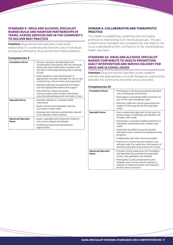# STANDARD 9- DRUG AND ALCOHOL SPECIALIST NURSES BUILD AND MAINTAIN PARTNERSHIPS IN TEAMS, ACROSS SERVICES AND IN THE COMMUNITY, TO DELIVER BEST PRACTICE

**Intention** *Drug and alcohol* specialist nurses build relationships to coordinate and share the care of individuals and groups affected by drug and alcohol related problems

## Competencies 9

| <b>Foundation Nurse</b>                    | » Ensures care plans are developed and<br>coordinated in partnership with the individual,<br>family and other health team members with<br>the view of discharge planning and continuity<br>of care |
|--------------------------------------------|----------------------------------------------------------------------------------------------------------------------------------------------------------------------------------------------------|
|                                            | » Seeks guidance in the development of<br>appropriate care plans through the use of case<br>conferencing, clinical review and supervision                                                          |
|                                            | » Identifies pathways and partners for shared<br>care and appropriate referral and support                                                                                                         |
|                                            | » Uses effective verbal and written<br>communication skills to share information<br>ensuring safe pathways and continuity of care                                                                  |
| <b>Specialist Nurse</b>                    | » Identifies referrals in a broader health<br>framework                                                                                                                                            |
|                                            | » Seeks, receives and negotiates referrals<br>according to client need                                                                                                                             |
|                                            | » Develops and maintains partnerships relevant<br>to the delivery of best practice                                                                                                                 |
| <b>Advanced Specialist</b><br><b>Nurse</b> | » Leads, negotiates and influences models of<br>care, service design and delivery                                                                                                                  |
|                                            | » Facilitates professional development<br>opportunities                                                                                                                                            |

# DOMAIN 4: COLLABORATIVE AND THERAPEUTIC **PRACTICE**

This relates to establishing, sustaining and concluding professional relationships with individuals/groups. This also contains those standards and competencies that relate to the nurse understanding their contribution to the interdisciplinary health care team.

# STANDARD 10- DRUG AND ALCOHOL SPECIALIST NURSES CONTRIBUTE TO HEALTH PROMOTION, EARLY INTERVENTION AND SERVICE DELIVERY FOR DRUG AND ALCOHOL ISSUES

Intention *Drug and alcohol* specialist nurses establish, maintain and appropriately conclude therapeutic relationships between the community and other service providers

| <b>Foundation Nurse</b>                    | » Participates in the drug and alcohol specialist<br>care of individuals and families<br>» Participates in providing health promotion as<br>part of the multi-disciplinary team<br>» Practices under the clinical supervision and<br>support of the drug and alcohol specialist |
|--------------------------------------------|---------------------------------------------------------------------------------------------------------------------------------------------------------------------------------------------------------------------------------------------------------------------------------|
| <b>Specialist Nurse</b>                    | nurse<br>» Uses a systemised approach to the care of a<br>diverse range of individuals and families with<br>complex care needs                                                                                                                                                  |
|                                            | » Participates in providing health promotion to<br>individuals and families with complex care<br>needs                                                                                                                                                                          |
|                                            | » Supervises foundation drug and alcohol<br>specialist nurses, students and graduate nurse<br>programs                                                                                                                                                                          |
|                                            | » Collaborates with other service providers                                                                                                                                                                                                                                     |
|                                            | » Practices in community and inpatient care<br>settings under the supervision and support of<br>advanced specialist drug and alcohol nurses                                                                                                                                     |
| <b>Advanced Specialist</b><br><b>Nurse</b> | » Provides clinical supervision for Foundation<br>and Specialist Drug and Alcohol specialist<br>nurses, new graduates and students                                                                                                                                              |
|                                            | » Participates in policy development and<br>strategic action across diverse settings in<br>relation to health promotion and drug and<br>alcohol service provision                                                                                                               |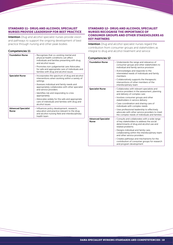# STANDARD 11- DRUG AND ALCOHOL SPECIALIST NURSES PROVIDE LEADERSHIP FOR BEST PRACTICE

Intention *Drug and alcohol* specialist nurses provide vision and pathways to support the ongoing development of best practice through nursing and other peak bodies

## Competencies 11

| <b>Foundation Nurse</b>                    | » Recognises that co-existing mental and<br>physical health conditions can affect<br>individuals and families presenting with drug<br>and alcohol issues<br>» Promotes non-judgemental care Advocates<br>for safe and appropriate care of individuals and |
|--------------------------------------------|-----------------------------------------------------------------------------------------------------------------------------------------------------------------------------------------------------------------------------------------------------------|
|                                            | families with drug and alcohol issues                                                                                                                                                                                                                     |
| <b>Specialist Nurse</b>                    | » Incorporates the spectrum of drug and alcohol<br>interventions when working within a variety of<br>settings                                                                                                                                             |
|                                            | » Assesses individual and family needs and<br>appropriately collaborates with other specialist<br>and service providers                                                                                                                                   |
|                                            | » Identifies risk and responding to crisis<br>appropriately                                                                                                                                                                                               |
|                                            | » Advocates widely for the safe and appropriate<br>care of individuals and families with drug and<br>alcohol issues                                                                                                                                       |
| <b>Advanced Specialist</b><br><b>Nurse</b> | » Influences policy development, research,<br>education and practice relevant to the drug<br>and alcohol nursing field and interdisciplinary<br>health team                                                                                               |

# STANDARD 12- DRUG AND ALCOHOL SPECIALIST NURSES RECOGNISE THE IMPORTANCE OF CONSUMER GROUPS AND OTHER STAKEHOLDERS AS KEY PARTNERS

**Intention** *Drug and alcohol* specialist nurses regard the contribution from consumer groups and stakeholders as integral to drug and alcohol treatment and service

| <b>Foundation Nurse</b>                    | » Understands the range and relevance of<br>consumer groups and other stakeholders to<br>individual and family service provision                           |
|--------------------------------------------|------------------------------------------------------------------------------------------------------------------------------------------------------------|
|                                            | » Acknowledges and responds to the<br>interrelated needs of individuals and family<br>members                                                              |
|                                            | » Collaboratively supports the therapeutic<br>interventions of other members of the<br>interdisciplinary team                                              |
| <b>Specialist Nurse</b>                    | » Collaborates with relevant specialists and<br>service providers in the assessment, planning<br>and delivery of complex care                              |
|                                            | » Involves consumer groups and other<br>stakeholders in service delivery                                                                                   |
|                                            | » Case coordination and sharing care of<br>individuals with complex needs                                                                                  |
|                                            | » Uses professional leadership to effectively<br>advocate with other service providers to meet<br>the complex needs of individuals and families            |
| <b>Advanced Specialist</b><br><b>Nurse</b> | » Consults and collaborates with a wide range<br>of key stakeholders to address the social<br>determinants of drug and alcohol use and<br>related problems |
|                                            | » Designs individual and family care,<br>collaborating within the interdisciplinary team<br>and other service providers                                    |
|                                            | » Creates pathways and mechanisms for the<br>contribution of consumer groups for research<br>and program development                                       |